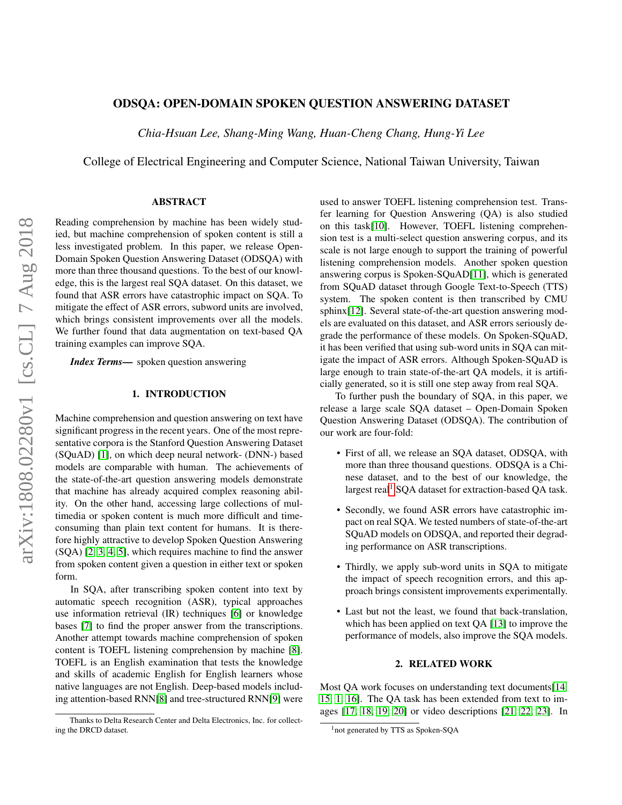# ODSQA: OPEN-DOMAIN SPOKEN QUESTION ANSWERING DATASET

*Chia-Hsuan Lee, Shang-Ming Wang, Huan-Cheng Chang, Hung-Yi Lee*

College of Electrical Engineering and Computer Science, National Taiwan University, Taiwan

# ABSTRACT

arXiv:1808.02280v1 [cs.CL] 7 Aug 2018 arXiv:1808.02280v1 [cs.CL] 7 Aug 2018 Reading comprehension by machine has been widely studied, but machine comprehension of spoken content is still a less investigated problem. In this paper, we release Open-Domain Spoken Question Answering Dataset (ODSQA) with more than three thousand questions. To the best of our knowledge, this is the largest real SQA dataset. On this dataset, we found that ASR errors have catastrophic impact on SQA. To mitigate the effect of ASR errors, subword units are involved, which brings consistent improvements over all the models. We further found that data augmentation on text-based QA training examples can improve SQA.

*Index Terms*— spoken question answering

### 1. INTRODUCTION

Machine comprehension and question answering on text have significant progress in the recent years. One of the most representative corpora is the Stanford Question Answering Dataset (SQuAD) [\[1\]](#page-6-0), on which deep neural network- (DNN-) based models are comparable with human. The achievements of the state-of-the-art question answering models demonstrate that machine has already acquired complex reasoning ability. On the other hand, accessing large collections of multimedia or spoken content is much more difficult and timeconsuming than plain text content for humans. It is therefore highly attractive to develop Spoken Question Answering (SQA) [\[2,](#page-6-1) [3,](#page-6-2) [4,](#page-6-3) [5\]](#page-6-4), which requires machine to find the answer from spoken content given a question in either text or spoken form.

In SQA, after transcribing spoken content into text by automatic speech recognition (ASR), typical approaches use information retrieval (IR) techniques [\[6\]](#page-6-5) or knowledge bases [\[7\]](#page-6-6) to find the proper answer from the transcriptions. Another attempt towards machine comprehension of spoken content is TOEFL listening comprehension by machine [\[8\]](#page-6-7). TOEFL is an English examination that tests the knowledge and skills of academic English for English learners whose native languages are not English. Deep-based models including attention-based RNN[\[8\]](#page-6-7) and tree-structured RNN[\[9\]](#page-6-8) were used to answer TOEFL listening comprehension test. Transfer learning for Question Answering (QA) is also studied on this task[\[10\]](#page-6-9). However, TOEFL listening comprehension test is a multi-select question answering corpus, and its scale is not large enough to support the training of powerful listening comprehension models. Another spoken question answering corpus is Spoken-SQuAD[\[11\]](#page-6-10), which is generated from SQuAD dataset through Google Text-to-Speech (TTS) system. The spoken content is then transcribed by CMU sphinx[\[12\]](#page-6-11). Several state-of-the-art question answering models are evaluated on this dataset, and ASR errors seriously degrade the performance of these models. On Spoken-SQuAD, it has been verified that using sub-word units in SQA can mitigate the impact of ASR errors. Although Spoken-SQuAD is large enough to train state-of-the-art QA models, it is artificially generated, so it is still one step away from real SQA.

To further push the boundary of SQA, in this paper, we release a large scale SQA dataset – Open-Domain Spoken Question Answering Dataset (ODSQA). The contribution of our work are four-fold:

- First of all, we release an SQA dataset, ODSQA, with more than three thousand questions. ODSQA is a Chinese dataset, and to the best of our knowledge, the largest real<sup>[1](#page-0-0)</sup> SQA dataset for extraction-based QA task.
- Secondly, we found ASR errors have catastrophic impact on real SQA. We tested numbers of state-of-the-art SQuAD models on ODSQA, and reported their degrading performance on ASR transcriptions.
- Thirdly, we apply sub-word units in SQA to mitigate the impact of speech recognition errors, and this approach brings consistent improvements experimentally.
- Last but not the least, we found that back-translation, which has been applied on text QA [\[13\]](#page-6-12) to improve the performance of models, also improve the SQA models.

# 2. RELATED WORK

Most OA work focuses on understanding text documents[\[14,](#page-6-13) [15,](#page-6-14) [1,](#page-6-0) [16\]](#page-6-15). The QA task has been extended from text to images [\[17,](#page-6-16) [18,](#page-6-17) [19,](#page-6-18) [20\]](#page-6-19) or video descriptions [\[21,](#page-6-20) [22,](#page-7-0) [23\]](#page-7-1). In

Thanks to Delta Research Center and Delta Electronics, Inc. for collecting the DRCD dataset.

<span id="page-0-0"></span><sup>&</sup>lt;sup>1</sup>not generated by TTS as Spoken-SQA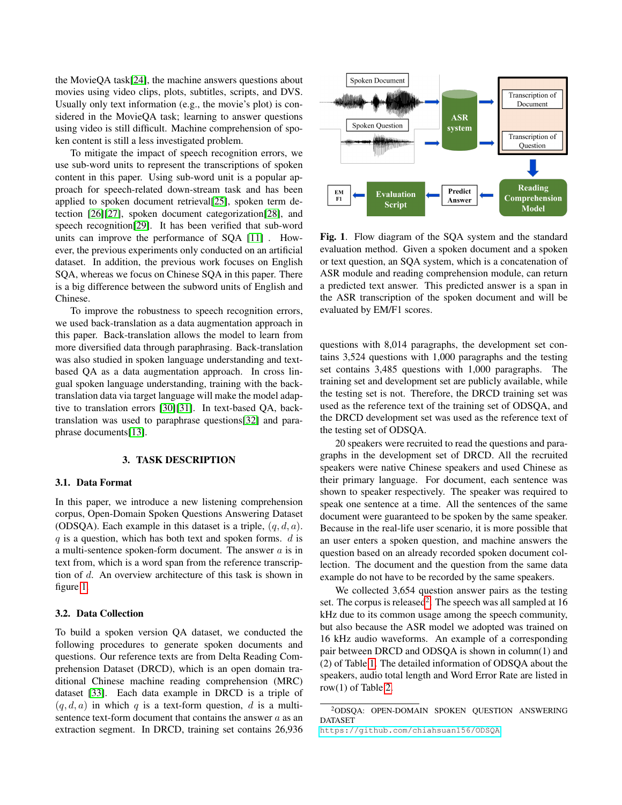the MovieQA task[\[24\]](#page-7-2), the machine answers questions about movies using video clips, plots, subtitles, scripts, and DVS. Usually only text information (e.g., the movie's plot) is considered in the MovieQA task; learning to answer questions using video is still difficult. Machine comprehension of spoken content is still a less investigated problem.

To mitigate the impact of speech recognition errors, we use sub-word units to represent the transcriptions of spoken content in this paper. Using sub-word unit is a popular approach for speech-related down-stream task and has been applied to spoken document retrieval[\[25\]](#page-7-3), spoken term detection [\[26\]](#page-7-4)[\[27\]](#page-7-5), spoken document categorization[\[28\]](#page-7-6), and speech recognition[\[29\]](#page-7-7). It has been verified that sub-word units can improve the performance of SQA [\[11\]](#page-6-10) . However, the previous experiments only conducted on an artificial dataset. In addition, the previous work focuses on English SQA, whereas we focus on Chinese SQA in this paper. There is a big difference between the subword units of English and Chinese.

To improve the robustness to speech recognition errors, we used back-translation as a data augmentation approach in this paper. Back-translation allows the model to learn from more diversified data through paraphrasing. Back-translation was also studied in spoken language understanding and textbased QA as a data augmentation approach. In cross lingual spoken language understanding, training with the backtranslation data via target language will make the model adaptive to translation errors [\[30\]](#page-7-8)[\[31\]](#page-7-9). In text-based QA, backtranslation was used to paraphrase questions[\[32\]](#page-7-10) and paraphrase documents[\[13\]](#page-6-12).

# 3. TASK DESCRIPTION

### 3.1. Data Format

In this paper, we introduce a new listening comprehension corpus, Open-Domain Spoken Questions Answering Dataset (ODSQA). Each example in this dataset is a triple,  $(q, d, a)$ .  $q$  is a question, which has both text and spoken forms.  $d$  is a multi-sentence spoken-form document. The answer  $a$  is in text from, which is a word span from the reference transcription of d. An overview architecture of this task is shown in figure [1.](#page-1-0)

# 3.2. Data Collection

To build a spoken version QA dataset, we conducted the following procedures to generate spoken documents and questions. Our reference texts are from Delta Reading Comprehension Dataset (DRCD), which is an open domain traditional Chinese machine reading comprehension (MRC) dataset [\[33\]](#page-7-11). Each data example in DRCD is a triple of  $(q, d, a)$  in which q is a text-form question, d is a multisentence text-form document that contains the answer a as an extraction segment. In DRCD, training set contains 26,936



<span id="page-1-0"></span>Fig. 1. Flow diagram of the SQA system and the standard evaluation method. Given a spoken document and a spoken or text question, an SQA system, which is a concatenation of ASR module and reading comprehension module, can return a predicted text answer. This predicted answer is a span in the ASR transcription of the spoken document and will be evaluated by EM/F1 scores.

questions with 8,014 paragraphs, the development set contains 3,524 questions with 1,000 paragraphs and the testing set contains 3,485 questions with 1,000 paragraphs. The training set and development set are publicly available, while the testing set is not. Therefore, the DRCD training set was used as the reference text of the training set of ODSQA, and the DRCD development set was used as the reference text of the testing set of ODSQA.

20 speakers were recruited to read the questions and paragraphs in the development set of DRCD. All the recruited speakers were native Chinese speakers and used Chinese as their primary language. For document, each sentence was shown to speaker respectively. The speaker was required to speak one sentence at a time. All the sentences of the same document were guaranteed to be spoken by the same speaker. Because in the real-life user scenario, it is more possible that an user enters a spoken question, and machine answers the question based on an already recorded spoken document collection. The document and the question from the same data example do not have to be recorded by the same speakers.

We collected 3,654 question answer pairs as the testing set. The corpus is released<sup>[2](#page-1-1)</sup>. The speech was all sampled at  $16$ kHz due to its common usage among the speech community, but also because the ASR model we adopted was trained on 16 kHz audio waveforms. An example of a corresponding pair between DRCD and ODSQA is shown in column(1) and (2) of Table [1.](#page-3-0) The detailed information of ODSQA about the speakers, audio total length and Word Error Rate are listed in row(1) of Table [2.](#page-4-0)

<span id="page-1-1"></span><sup>2</sup>ODSQA: OPEN-DOMAIN SPOKEN QUESTION ANSWERING DATASET

<https://github.com/chiahsuan156/ODSQA>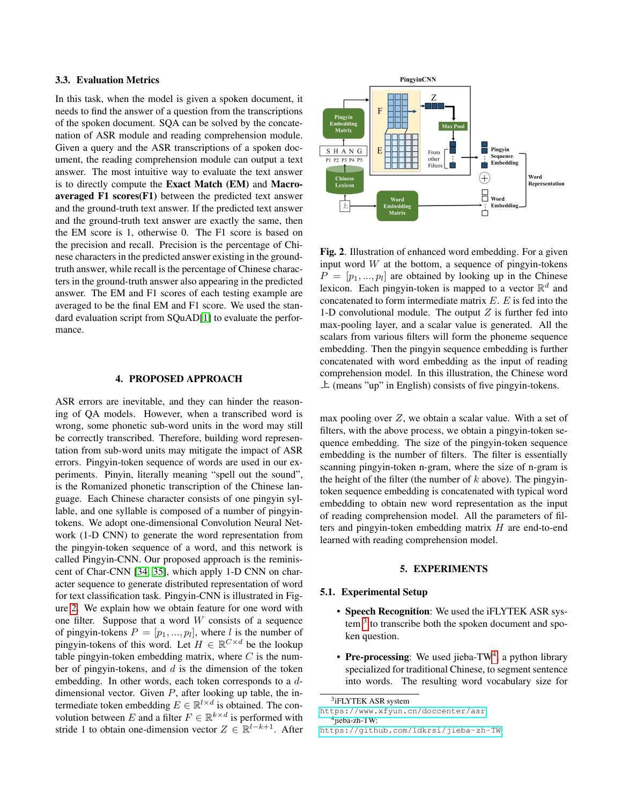#### 3.3. Evaluation Metrics

In this task, when the model is given a spoken document, it needs to find the answer of a question from the transcriptions of the spoken document. SQA can be solved by the concatenation of ASR module and reading comprehension module. Given a query and the ASR transcriptions of a spoken document, the reading comprehension module can output a text answer. The most intuitive way to evaluate the text answer is to directly compute the Exact Match (EM) and Macroaveraged F1 scores(F1) between the predicted text answer and the ground-truth text answer. If the predicted text answer and the ground-truth text answer are exactly the same, then the EM score is 1, otherwise 0. The F1 score is based on the precision and recall. Precision is the percentage of Chinese characters in the predicted answer existing in the groundtruth answer, while recall is the percentage of Chinese characters in the ground-truth answer also appearing in the predicted answer. The EM and F1 scores of each testing example are averaged to be the final EM and F1 score. We used the standard evaluation script from SQuAD[\[1\]](#page-6-0) to evaluate the performance.

### 4. PROPOSED APPROACH

ASR errors are inevitable, and they can hinder the reasoning of QA models. However, when a transcribed word is wrong, some phonetic sub-word units in the word may still be correctly transcribed. Therefore, building word representation from sub-word units may mitigate the impact of ASR errors. Pingyin-token sequence of words are used in our experiments. Pinyin, literally meaning "spell out the sound", is the Romanized phonetic transcription of the Chinese language. Each Chinese character consists of one pingyin syllable, and one syllable is composed of a number of pingyintokens. We adopt one-dimensional Convolution Neural Network (1-D CNN) to generate the word representation from the pingyin-token sequence of a word, and this network is called Pingyin-CNN. Our proposed approach is the reminiscent of Char-CNN [\[34,](#page-7-12) [35\]](#page-7-13), which apply 1-D CNN on character sequence to generate distributed representation of word for text classification task. Pingyin-CNN is illustrated in Figure [2.](#page-2-0) We explain how we obtain feature for one word with one filter. Suppose that a word  $W$  consists of a sequence of pingyin-tokens  $P = [p_1, ..., p_l]$ , where l is the number of pingyin-tokens of this word. Let  $H \in \mathbb{R}^{C \times d}$  be the lookup table pingyin-token embedding matrix, where  $C$  is the number of pingyin-tokens, and  $d$  is the dimension of the token embedding. In other words, each token corresponds to a ddimensional vector. Given  $P$ , after looking up table, the intermediate token embedding  $E \in \mathbb{R}^{l \times d}$  is obtained. The convolution between E and a filter  $F \in \mathbb{R}^{k \times d}$  is performed with stride 1 to obtain one-dimension vector  $Z \in \mathbb{R}^{l-k+1}$ . After



<span id="page-2-0"></span>Fig. 2. Illustration of enhanced word embedding. For a given input word  $W$  at the bottom, a sequence of pingyin-tokens  $P = [p_1, ..., p_l]$  are obtained by looking up in the Chinese lexicon. Each pingyin-token is mapped to a vector  $\mathbb{R}^d$  and concatenated to form intermediate matrix E. E is fed into the 1-D convolutional module. The output  $Z$  is further fed into max-pooling layer, and a scalar value is generated. All the scalars from various filters will form the phoneme sequence embedding. Then the pingyin sequence embedding is further concatenated with word embedding as the input of reading comprehension model. In this illustration, the Chinese word 上 (means "up" in English) consists of five pingyin-tokens.

max pooling over  $Z$ , we obtain a scalar value. With a set of filters, with the above process, we obtain a pingyin-token sequence embedding. The size of the pingyin-token sequence embedding is the number of filters. The filter is essentially scanning pingyin-token n-gram, where the size of n-gram is the height of the filter (the number of  $k$  above). The pingyintoken sequence embedding is concatenated with typical word embedding to obtain new word representation as the input of reading comprehension model. All the parameters of filters and pingyin-token embedding matrix H are end-to-end learned with reading comprehension model.

#### 5. EXPERIMENTS

### 5.1. Experimental Setup

- Speech Recognition: We used the iFLYTEK ASR sys-tem <sup>[3](#page-2-1)</sup> to transcribe both the spoken document and spoken question.
- Pre-processing: We used jieba-TW<sup>[4](#page-2-2)</sup>, a python library specialized for traditional Chinese, to segment sentence into words. The resulting word vocabulary size for

<span id="page-2-1"></span><sup>&</sup>lt;sup>3</sup>iFLYTEK ASR system

[https://www.xfyun.cn/doccenter/asr]( https://www.xfyun.cn/doccenter/asr)

<span id="page-2-2"></span><sup>4</sup> jieba-zh-TW:

<https://github.com/ldkrsi/jieba-zh-TW>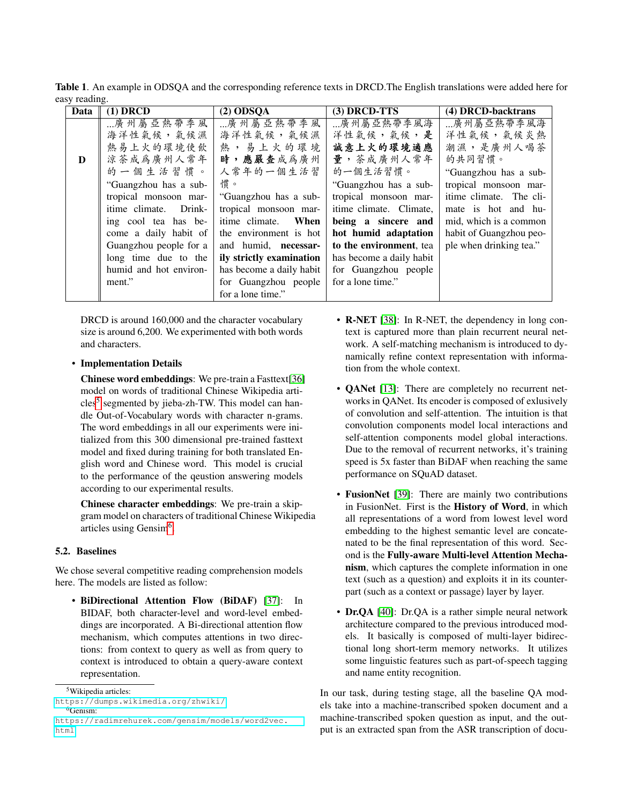<span id="page-3-0"></span>Table 1. An example in ODSQA and the corresponding reference texts in DRCD.The English translations were added here for easy reading.

| Data | (1) DRCD               | $(2)$ ODSQA              | (3) DRCD-TTS             | (4) DRCD-backtrans      |
|------|------------------------|--------------------------|--------------------------|-------------------------|
|      | 廣州屬亞熱帶季風               | 廣州屬亞熱帶季風                 | 廣州屬亞熱帶季風海                | 廣州屬亞熱帶季風海               |
|      | 海洋性氣候,氣候濕              | 海洋性氣候,氣候濕                | 洋性氣候,氣候,是                | 洋性氣候,氣候炎熱               |
|      | 熱易上火的環境使飲              | 熱,易上火的環境                 | 誠意上火的環境適應                | 潮濕,是廣州人喝茶               |
| D    | 涼茶成爲廣州人常年              | 時,應嚴查成爲廣州                | 量,茶成廣州人常年                | 的共同習慣。                  |
|      | 的一個生活習慣。               | 人常年的一個生活習                | 的一個生活習慣。                 | "Guangzhou has a sub-   |
|      | "Guangzhou has a sub-  | 慣。                       | "Guangzhou has a sub-    | tropical monsoon mar-   |
|      | tropical monsoon mar-  | "Guangzhou has a sub-    | tropical monsoon mar-    | itime climate. The cli- |
|      | itime climate. Drink-  | tropical monsoon mar-    | itime climate. Climate,  | mate is hot and hu-     |
|      | ing cool tea has be-   | itime climate.<br>When   | being a sincere and      | mid, which is a common  |
|      | come a daily habit of  | the environment is hot   | hot humid adaptation     | habit of Guangzhou peo- |
|      | Guangzhou people for a | and humid, necessar-     | to the environment, tea  | ple when drinking tea." |
|      | long time due to the   | ily strictly examination | has become a daily habit |                         |
|      | humid and hot environ- | has become a daily habit | for Guangzhou people     |                         |
|      | ment."                 | for Guangzhou people     | for a lone time."        |                         |
|      |                        | for a lone time."        |                          |                         |

DRCD is around  $160,000$  and the character vocabulary size is around 6,200. We experimented with both words and characters.

• Implementation Details

Chinese word embeddings: We pre-train a Fasttext[\[36\]](#page-7-14) model on words of traditional Chinese Wikipedia arti-cles<sup>[5](#page-3-1)</sup> segmented by jieba-zh-TW. This model can handle Out-of-Vocabulary words with character n-grams. The word embeddings in all our experiments were initialized from this 300 dimensional pre-trained fasttext model and fixed during training for both translated English word and Chinese word. This model is crucial to the performance of the qeustion answering models according to our experimental results.

Chinese character embeddings: We pre-train a skipgram model on characters of traditional Chinese Wikipedia articles using Gensim<sup>[6](#page-3-2)</sup>.

# 5.2. Baselines

We chose several competitive reading comprehension models here. The models are listed as follow:

• BiDirectional Attention Flow (BiDAF) [\[37\]](#page-7-15): In BIDAF, both character-level and word-level embeddings are incorporated. A Bi-directional attention flow mechanism, which computes attentions in two directions: from context to query as well as from query to context is introduced to obtain a query-aware context representation.

- **R-NET** [\[38\]](#page-7-16): In R-NET, the dependency in long context is captured more than plain recurrent neural network. A self-matching mechanism is introduced to dynamically refine context representation with information from the whole context.
- **OANet** [\[13\]](#page-6-12): There are completely no recurrent networks in QANet. Its encoder is composed of exlusively of convolution and self-attention. The intuition is that convolution components model local interactions and self-attention components model global interactions. Due to the removal of recurrent networks, it's training speed is 5x faster than BiDAF when reaching the same performance on SQuAD dataset.
- FusionNet [\[39\]](#page-7-17): There are mainly two contributions in FusionNet. First is the History of Word, in which all representations of a word from lowest level word embedding to the highest semantic level are concatenated to be the final representation of this word. Second is the Fully-aware Multi-level Attention Mechanism, which captures the complete information in one text (such as a question) and exploits it in its counterpart (such as a context or passage) layer by layer.
- Dr.QA [\[40\]](#page-7-18): Dr.QA is a rather simple neural network architecture compared to the previous introduced models. It basically is composed of multi-layer bidirectional long short-term memory networks. It utilizes some linguistic features such as part-of-speech tagging and name entity recognition.

In our task, during testing stage, all the baseline QA models take into a machine-transcribed spoken document and a machine-transcribed spoken question as input, and the output is an extracted span from the ASR transcription of docu-

<span id="page-3-1"></span><sup>5</sup>Wikipedia articles:

<span id="page-3-2"></span><https://dumps.wikimedia.org/zhwiki/> <sup>6</sup>Genism:

[https://radimrehurek.com/gensim/models/word2vec.]( https://radimrehurek.com/gensim/models/word2vec.html) [html]( https://radimrehurek.com/gensim/models/word2vec.html)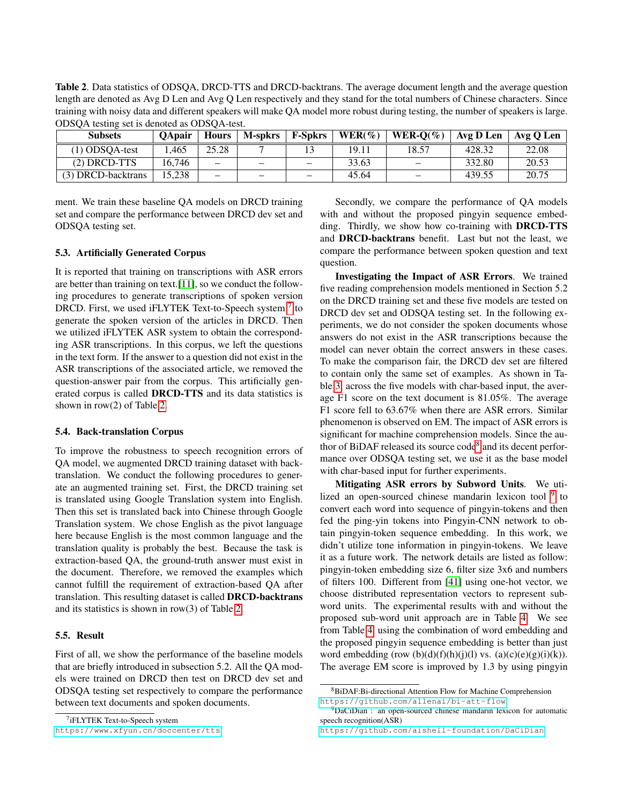<span id="page-4-0"></span>Table 2. Data statistics of ODSQA, DRCD-TTS and DRCD-backtrans. The average document length and the average question length are denoted as Avg D Len and Avg Q Len respectively and they stand for the total numbers of Chinese characters. Since training with noisy data and different speakers will make QA model more robust during testing, the number of speakers is large. ODSQA testing set is denoted as ODSQA-test.

| <b>Subsets</b>     | <b>OApair</b> | <b>Hours</b>             | M-spkrs | <b>F-Spkrs</b> | $WER(\%)$ | WER- $O(\%)$ | Avg D Len | Avg O Len |
|--------------------|---------------|--------------------------|---------|----------------|-----------|--------------|-----------|-----------|
| (1) ODSOA-test     | .465          | 25.28                    |         |                | 19.11     | 18.57        | 428.32    | 22.08     |
| $(2)$ DRCD-TTS     | 16.746        | $\overline{\phantom{a}}$ | -       | -              | 33.63     |              | 332.80    | 20.53     |
| (3) DRCD-backtrans | 15.238        | $\qquad \qquad -$        | -       | -              | 45.64     |              | 439.55    | 20.75     |

ment. We train these baseline QA models on DRCD training set and compare the performance between DRCD dev set and ODSQA testing set.

# 5.3. Artificially Generated Corpus

It is reported that training on transcriptions with ASR errors are better than training on text.[\[11\]](#page-6-10), so we conduct the following procedures to generate transcriptions of spoken version DRCD. First, we used iFLYTEK Text-to-Speech system<sup>[7](#page-4-1)</sup> to generate the spoken version of the articles in DRCD. Then we utilized iFLYTEK ASR system to obtain the corresponding ASR transcriptions. In this corpus, we left the questions in the text form. If the answer to a question did not exist in the ASR transcriptions of the associated article, we removed the question-answer pair from the corpus. This artificially generated corpus is called DRCD-TTS and its data statistics is shown in row(2) of Table [2.](#page-4-0)

#### 5.4. Back-translation Corpus

To improve the robustness to speech recognition errors of QA model, we augmented DRCD training dataset with backtranslation. We conduct the following procedures to generate an augmented training set. First, the DRCD training set is translated using Google Translation system into English. Then this set is translated back into Chinese through Google Translation system. We chose English as the pivot language here because English is the most common language and the translation quality is probably the best. Because the task is extraction-based QA, the ground-truth answer must exist in the document. Therefore, we removed the examples which cannot fulfill the requirement of extraction-based QA after translation. This resulting dataset is called DRCD-backtrans and its statistics is shown in row(3) of Table [2.](#page-4-0)

# 5.5. Result

First of all, we show the performance of the baseline models that are briefly introduced in subsection 5.2. All the QA models were trained on DRCD then test on DRCD dev set and ODSQA testing set respectively to compare the performance between text documents and spoken documents.

[https://www.xfyun.cn/doccenter/tts]( https://www.xfyun.cn/doccenter/tts)

Secondly, we compare the performance of QA models with and without the proposed pingyin sequence embedding. Thirdly, we show how co-training with DRCD-TTS and DRCD-backtrans benefit. Last but not the least, we compare the performance between spoken question and text question.

Investigating the Impact of ASR Errors. We trained five reading comprehension models mentioned in Section 5.2 on the DRCD training set and these five models are tested on DRCD dev set and ODSQA testing set. In the following experiments, we do not consider the spoken documents whose answers do not exist in the ASR transcriptions because the model can never obtain the correct answers in these cases. To make the comparison fair, the DRCD dev set are filtered to contain only the same set of examples. As shown in Table [3,](#page-5-0) across the five models with char-based input, the average F1 score on the text document is 81.05%. The average F1 score fell to 63.67% when there are ASR errors. Similar phenomenon is observed on EM. The impact of ASR errors is significant for machine comprehension models. Since the au-thor of BiDAF released its source code<sup>[8](#page-4-2)</sup> and its decent performance over ODSQA testing set, we use it as the base model with char-based input for further experiments.

Mitigating ASR errors by Subword Units. We uti-lized an open-sourced chinese mandarin lexicon tool <sup>[9](#page-4-3)</sup> to convert each word into sequence of pingyin-tokens and then fed the ping-yin tokens into Pingyin-CNN network to obtain pingyin-token sequence embedding. In this work, we didn't utilize tone information in pingyin-tokens. We leave it as a future work. The network details are listed as follow: pingyin-token embedding size 6, filter size 3x6 and numbers of filters 100. Different from [\[41\]](#page-7-19) using one-hot vector, we choose distributed representation vectors to represent subword units. The experimental results with and without the proposed sub-word unit approach are in Table [4.](#page-5-1) We see from Table [4,](#page-5-1) using the combination of word embedding and the proposed pingyin sequence embedding is better than just word embedding (row  $(b)(d)(f)(h)(j)(l)$  vs.  $(a)(c)(e)(g)(i)(k)$ ). The average EM score is improved by 1.3 by using pingyin

<span id="page-4-1"></span><sup>&</sup>lt;sup>7</sup>iFLYTEK Text-to-Speech system

<span id="page-4-2"></span><sup>8</sup>BiDAF:Bi-directional Attention Flow for Machine Comprehension <https://github.com/allenai/bi-att-flow>

<span id="page-4-3"></span><sup>9</sup>DaCiDian : an open-sourced chinese mandarin lexicon for automatic speech recognition(ASR)

<https://github.com/aishell-foundation/DaCiDian>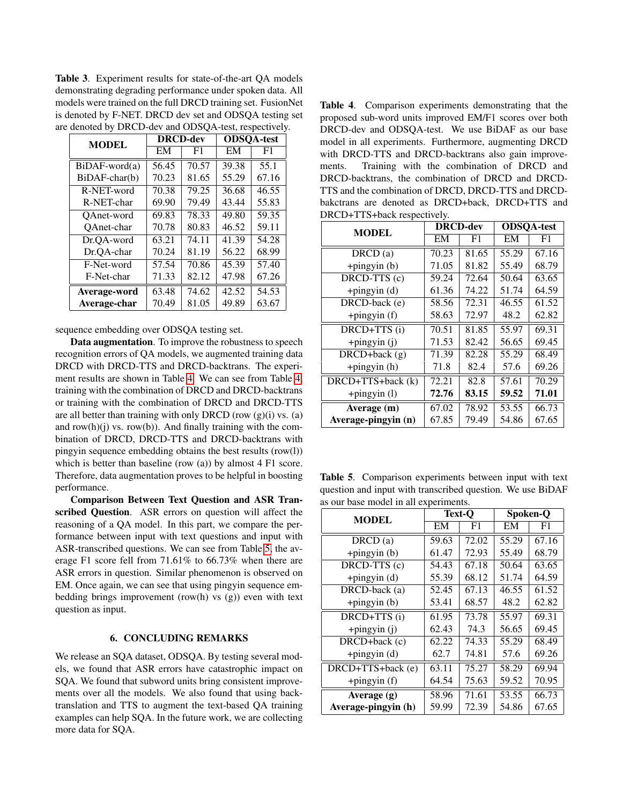<span id="page-5-0"></span>Table 3. Experiment results for state-of-the-art QA models demonstrating degrading performance under spoken data. All models were trained on the full DRCD training set. FusionNet is denoted by F-NET. DRCD dev set and ODSQA testing set are denoted by DRCD-dev and ODSQA-test, respectively.

| <b>MODEL</b>    |       | <b>DRCD-dev</b> | <b>ODSQA-test</b> |       |  |
|-----------------|-------|-----------------|-------------------|-------|--|
|                 | EM    | F1              | EM                | F1    |  |
| $BiDAF-word(a)$ | 56.45 | 70.57           | 39.38             | 55.1  |  |
| BiDAF-char(b)   | 70.23 | 81.65           | 55.29             | 67.16 |  |
| R-NET-word      | 70.38 | 79.25           | 36.68             | 46.55 |  |
| R-NET-char      | 69.90 | 79.49           | 43.44             | 55.83 |  |
| OAnet-word      | 69.83 | 78.33           | 49.80             | 59.35 |  |
| OAnet-char      | 70.78 | 80.83           | 46.52             | 59.11 |  |
| Dr.QA-word      | 63.21 | 74.11           | 41.39             | 54.28 |  |
| Dr.OA-char      | 70.24 | 81.19           | 56.22             | 68.99 |  |
| F-Net-word      | 57.54 | 70.86           | 45.39             | 57.40 |  |
| F-Net-char      | 71.33 | 82.12           | 47.98             | 67.26 |  |
| Average-word    | 63.48 | 74.62           | 42.52             | 54.53 |  |
| Average-char    | 70.49 | 81.05           | 49.89             | 63.67 |  |

sequence embedding over ODSQA testing set.

Data augmentation. To improve the robustness to speech recognition errors of QA models, we augmented training data DRCD with DRCD-TTS and DRCD-backtrans. The experiment results are shown in Table [4.](#page-5-1) We can see from Table [4,](#page-5-1) training with the combination of DRCD and DRCD-backtrans or training with the combination of DRCD and DRCD-TTS are all better than training with only DRCD (row  $(g)(i)$  vs. (a) and  $row(h)(j)$  vs.  $row(b)$ ). And finally training with the combination of DRCD, DRCD-TTS and DRCD-backtrans with pingyin sequence embedding obtains the best results (row(l)) which is better than baseline (row (a)) by almost 4 F1 score. Therefore, data augmentation proves to be helpful in boosting performance.

Comparison Between Text Question and ASR Transcribed Question. ASR errors on question will affect the reasoning of a QA model. In this part, we compare the performance between input with text questions and input with ASR-transcribed questions. We can see from Table [5,](#page-5-2) the average F1 score fell from 71.61% to 66.73% when there are ASR errors in question. Similar phenomenon is observed on EM. Once again, we can see that using pingyin sequence embedding brings improvement (row(h) vs (g)) even with text question as input.

# 6. CONCLUDING REMARKS

We release an SQA dataset, ODSQA. By testing several models, we found that ASR errors have catastrophic impact on SQA. We found that subword units bring consistent improvements over all the models. We also found that using backtranslation and TTS to augment the text-based QA training examples can help SQA. In the future work, we are collecting more data for SQA.

<span id="page-5-1"></span>Table 4. Comparison experiments demonstrating that the proposed sub-word units improved EM/F1 scores over both DRCD-dev and ODSQA-test. We use BiDAF as our base model in all experiments. Furthermore, augmenting DRCD with DRCD-TTS and DRCD-backtrans also gain improvements. Training with the combination of DRCD and DRCD-backtrans, the combination of DRCD and DRCD-TTS and the combination of DRCD, DRCD-TTS and DRCDbakctrans are denoted as DRCD+back, DRCD+TTS and DRCD+TTS+back respectively.

| <b>MODEL</b>          |       | <b>DRCD-dev</b> | <b>ODSQA-test</b> |       |  |
|-----------------------|-------|-----------------|-------------------|-------|--|
|                       | EМ    | F1              | EM                | F1    |  |
| $\overline{D}RCD$ (a) | 70.23 | 81.65           | 55.29             | 67.16 |  |
| +pingyin (b)          | 71.05 | 81.82           | 55.49             | 68.79 |  |
| DRCD-TTS (c)          | 59.24 | 72.64           | 50.64             | 63.65 |  |
| +pingyin $(d)$        | 61.36 | 74.22           | 51.74             | 64.59 |  |
| DRCD-back (e)         | 58.56 | 72.31           | 46.55             | 61.52 |  |
| +pingyin (f)          | 58.63 | 72.97           | 48.2              | 62.82 |  |
| DRCD+TTS (i)          | 70.51 | 81.85           | 55.97             | 69.31 |  |
| $+$ pingyin $(j)$     | 71.53 | 82.42           | 56.65             | 69.45 |  |
| $DRCD + back(g)$      | 71.39 | 82.28           | 55.29             | 68.49 |  |
| $+$ pingyin $(h)$     | 71.8  | 82.4            | 57.6              | 69.26 |  |
| DRCD+TTS+back (k)     | 72.21 | 82.8            | 57.61             | 70.29 |  |
| +pingyin (l)          | 72.76 | 83.15           | 59.52             | 71.01 |  |
| Average (m)           | 67.02 | 78.92           | 53.55             | 66.73 |  |
| Average-pingyin (n)   | 67.85 | 79.49           | 54.86             | 67.65 |  |

<span id="page-5-2"></span>Table 5. Comparison experiments between input with text question and input with transcribed question. We use BiDAF as our base model in all experiments.

| <b>MODEL</b>        | Text-O |       | Spoken-Q |       |  |
|---------------------|--------|-------|----------|-------|--|
|                     | EM     | F1    | EM       | F1    |  |
| $D RCD$ $(a)$       | 59.63  | 72.02 | 55.29    | 67.16 |  |
| $+$ pingyin $(b)$   | 61.47  | 72.93 | 55.49    | 68.79 |  |
| DRCD-TTS (c)        | 54.43  | 67.18 | 50.64    | 63.65 |  |
| +pingyin $(d)$      | 55.39  | 68.12 | 51.74    | 64.59 |  |
| $DRCD-back(a)$      | 52.45  | 67.13 | 46.55    | 61.52 |  |
| $+$ pingyin $(b)$   | 53.41  | 68.57 | 48.2     | 62.82 |  |
| DRCD+TTS(i)         | 61.95  | 73.78 | 55.97    | 69.31 |  |
| $+$ pingyin $(j)$   | 62.43  | 74.3  | 56.65    | 69.45 |  |
| $DRCD+back(c)$      | 62.22  | 74.33 | 55.29    | 68.49 |  |
| +pingyin $(d)$      | 62.7   | 74.81 | 57.6     | 69.26 |  |
| DRCD+TTS+back (e)   | 63.11  | 75.27 | 58.29    | 69.94 |  |
| $+$ pingyin $(f)$   | 64.54  | 75.63 | 59.52    | 70.95 |  |
| Average (g)         | 58.96  | 71.61 | 53.55    | 66.73 |  |
| Average-pingyin (h) | 59.99  | 72.39 | 54.86    | 67.65 |  |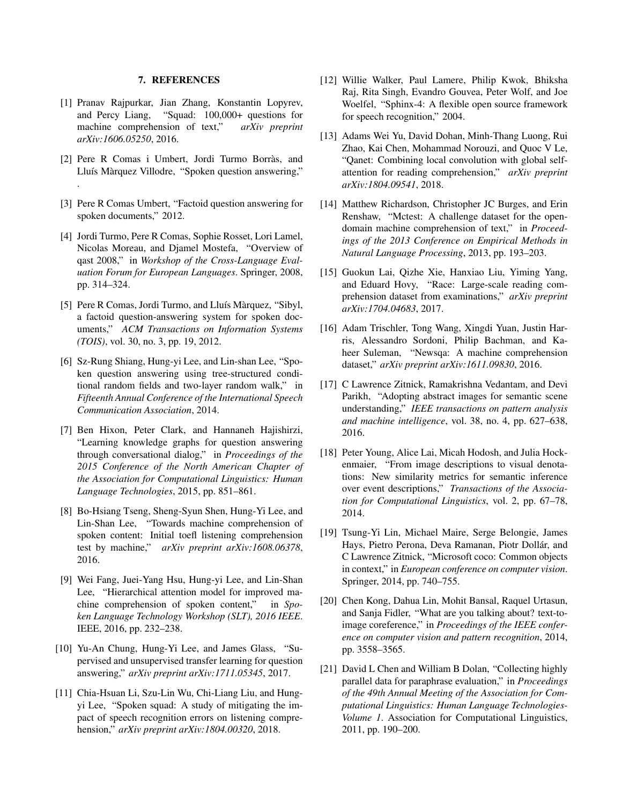# 7. REFERENCES

- <span id="page-6-0"></span>[1] Pranav Rajpurkar, Jian Zhang, Konstantin Lopyrev, and Percy Liang, "Squad: 100,000+ questions for machine comprehension of text," *arXiv preprint arXiv:1606.05250*, 2016.
- <span id="page-6-1"></span>[2] Pere R Comas i Umbert, Jordi Turmo Borràs, and Lluís Màrquez Villodre, "Spoken question answering," .
- <span id="page-6-2"></span>[3] Pere R Comas Umbert, "Factoid question answering for spoken documents," 2012.
- <span id="page-6-3"></span>[4] Jordi Turmo, Pere R Comas, Sophie Rosset, Lori Lamel, Nicolas Moreau, and Djamel Mostefa, "Overview of qast 2008," in *Workshop of the Cross-Language Evaluation Forum for European Languages*. Springer, 2008, pp. 314–324.
- <span id="page-6-4"></span>[5] Pere R Comas, Jordi Turmo, and Lluís Màrquez, "Sibyl, a factoid question-answering system for spoken documents," *ACM Transactions on Information Systems (TOIS)*, vol. 30, no. 3, pp. 19, 2012.
- <span id="page-6-5"></span>[6] Sz-Rung Shiang, Hung-yi Lee, and Lin-shan Lee, "Spoken question answering using tree-structured conditional random fields and two-layer random walk," in *Fifteenth Annual Conference of the International Speech Communication Association*, 2014.
- <span id="page-6-6"></span>[7] Ben Hixon, Peter Clark, and Hannaneh Hajishirzi, "Learning knowledge graphs for question answering through conversational dialog," in *Proceedings of the 2015 Conference of the North American Chapter of the Association for Computational Linguistics: Human Language Technologies*, 2015, pp. 851–861.
- <span id="page-6-7"></span>[8] Bo-Hsiang Tseng, Sheng-Syun Shen, Hung-Yi Lee, and Lin-Shan Lee, "Towards machine comprehension of spoken content: Initial toefl listening comprehension test by machine," *arXiv preprint arXiv:1608.06378*, 2016.
- <span id="page-6-8"></span>[9] Wei Fang, Juei-Yang Hsu, Hung-yi Lee, and Lin-Shan Lee, "Hierarchical attention model for improved machine comprehension of spoken content," in *Spoken Language Technology Workshop (SLT), 2016 IEEE*. IEEE, 2016, pp. 232–238.
- <span id="page-6-9"></span>[10] Yu-An Chung, Hung-Yi Lee, and James Glass, "Supervised and unsupervised transfer learning for question answering," *arXiv preprint arXiv:1711.05345*, 2017.
- <span id="page-6-10"></span>[11] Chia-Hsuan Li, Szu-Lin Wu, Chi-Liang Liu, and Hungyi Lee, "Spoken squad: A study of mitigating the impact of speech recognition errors on listening comprehension," *arXiv preprint arXiv:1804.00320*, 2018.
- <span id="page-6-11"></span>[12] Willie Walker, Paul Lamere, Philip Kwok, Bhiksha Raj, Rita Singh, Evandro Gouvea, Peter Wolf, and Joe Woelfel, "Sphinx-4: A flexible open source framework for speech recognition," 2004.
- <span id="page-6-12"></span>[13] Adams Wei Yu, David Dohan, Minh-Thang Luong, Rui Zhao, Kai Chen, Mohammad Norouzi, and Quoc V Le, "Qanet: Combining local convolution with global selfattention for reading comprehension," *arXiv preprint arXiv:1804.09541*, 2018.
- <span id="page-6-13"></span>[14] Matthew Richardson, Christopher JC Burges, and Erin Renshaw, "Mctest: A challenge dataset for the opendomain machine comprehension of text," in *Proceedings of the 2013 Conference on Empirical Methods in Natural Language Processing*, 2013, pp. 193–203.
- <span id="page-6-14"></span>[15] Guokun Lai, Qizhe Xie, Hanxiao Liu, Yiming Yang, and Eduard Hovy, "Race: Large-scale reading comprehension dataset from examinations," *arXiv preprint arXiv:1704.04683*, 2017.
- <span id="page-6-15"></span>[16] Adam Trischler, Tong Wang, Xingdi Yuan, Justin Harris, Alessandro Sordoni, Philip Bachman, and Kaheer Suleman, "Newsqa: A machine comprehension dataset," *arXiv preprint arXiv:1611.09830*, 2016.
- <span id="page-6-16"></span>[17] C Lawrence Zitnick, Ramakrishna Vedantam, and Devi Parikh, "Adopting abstract images for semantic scene understanding," *IEEE transactions on pattern analysis and machine intelligence*, vol. 38, no. 4, pp. 627–638, 2016.
- <span id="page-6-17"></span>[18] Peter Young, Alice Lai, Micah Hodosh, and Julia Hockenmaier, "From image descriptions to visual denotations: New similarity metrics for semantic inference over event descriptions," *Transactions of the Association for Computational Linguistics*, vol. 2, pp. 67–78, 2014.
- <span id="page-6-18"></span>[19] Tsung-Yi Lin, Michael Maire, Serge Belongie, James Hays, Pietro Perona, Deva Ramanan, Piotr Dollár, and C Lawrence Zitnick, "Microsoft coco: Common objects in context," in *European conference on computer vision*. Springer, 2014, pp. 740–755.
- <span id="page-6-19"></span>[20] Chen Kong, Dahua Lin, Mohit Bansal, Raquel Urtasun, and Sanja Fidler, "What are you talking about? text-toimage coreference," in *Proceedings of the IEEE conference on computer vision and pattern recognition*, 2014, pp. 3558–3565.
- <span id="page-6-20"></span>[21] David L Chen and William B Dolan, "Collecting highly parallel data for paraphrase evaluation," in *Proceedings of the 49th Annual Meeting of the Association for Computational Linguistics: Human Language Technologies-Volume 1*. Association for Computational Linguistics, 2011, pp. 190–200.